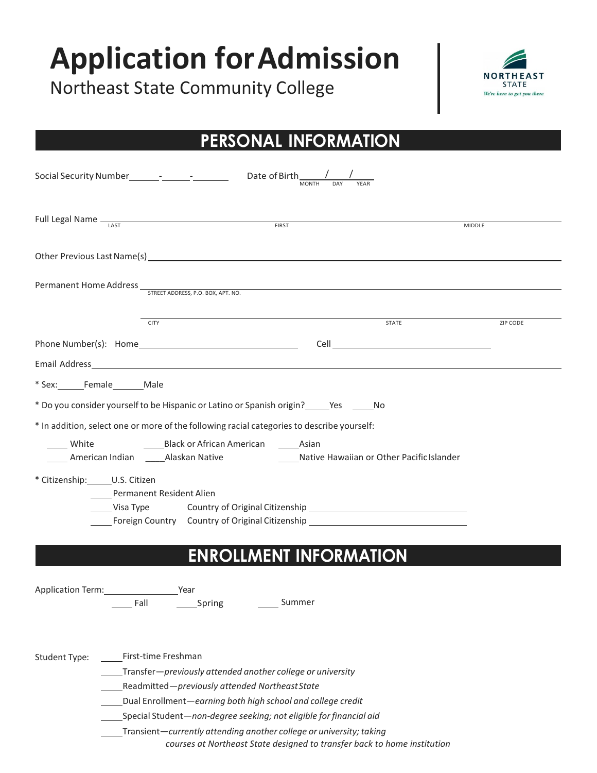# **Application forAdmission**

Northeast State Community College



## **PERSONAL INFORMATION**

| Full Legal Name <sub>IAST</sub><br><b>MIDDLE</b>                                                                                                                                                                                                                                                                                                                                                                                             |          |
|----------------------------------------------------------------------------------------------------------------------------------------------------------------------------------------------------------------------------------------------------------------------------------------------------------------------------------------------------------------------------------------------------------------------------------------------|----------|
|                                                                                                                                                                                                                                                                                                                                                                                                                                              |          |
|                                                                                                                                                                                                                                                                                                                                                                                                                                              |          |
| <b>STATE</b><br><b>CITY</b>                                                                                                                                                                                                                                                                                                                                                                                                                  | ZIP CODE |
|                                                                                                                                                                                                                                                                                                                                                                                                                                              |          |
|                                                                                                                                                                                                                                                                                                                                                                                                                                              |          |
| * Sex: Female Male                                                                                                                                                                                                                                                                                                                                                                                                                           |          |
| * Do you consider yourself to be Hispanic or Latino or Spanish origin? ______Yes _______No                                                                                                                                                                                                                                                                                                                                                   |          |
| * In addition, select one or more of the following racial categories to describe yourself:<br>Black or African American _______ Asian<br>White<br>_____ American Indian _______ Alaskan Native ______________________Native Hawaiian or Other Pacific Islander                                                                                                                                                                               |          |
| * Citizenship: _______ U.S. Citizen<br>Permanent Resident Alien<br>Visa Type<br>Foreign Country Country of Original Citizenship ________________________________                                                                                                                                                                                                                                                                             |          |
| <b>ENROLLMENT INFORMATION</b>                                                                                                                                                                                                                                                                                                                                                                                                                |          |
| Application Term: Vear                                                                                                                                                                                                                                                                                                                                                                                                                       |          |
| First-time Freshman<br>Student Type:<br>Transfer-previously attended another college or university<br>Readmitted-previously attended Northeast State<br>Dual Enrollment-earning both high school and college credit<br>Special Student-non-degree seeking; not eligible for financial aid<br>Transient-currently attending another college or university; taking<br>courses at Northeast State designed to transfer back to home institution |          |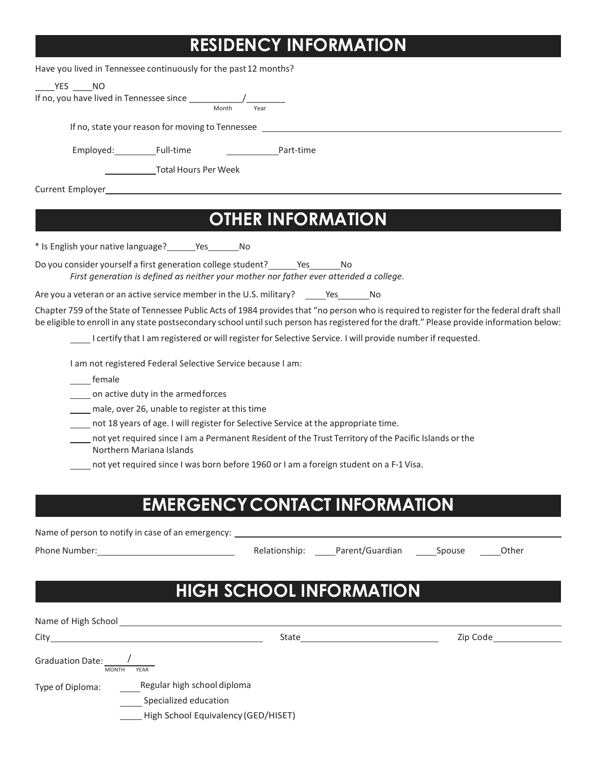## **RESIDENCY INFORMATION**

|                                           | Have you lived in Tennessee continuously for the past 12 months?                                                     |                                                                                                                                 |                                                                                                                                                                                                                                                                                          |
|-------------------------------------------|----------------------------------------------------------------------------------------------------------------------|---------------------------------------------------------------------------------------------------------------------------------|------------------------------------------------------------------------------------------------------------------------------------------------------------------------------------------------------------------------------------------------------------------------------------------|
| $YES$ NO                                  |                                                                                                                      |                                                                                                                                 |                                                                                                                                                                                                                                                                                          |
|                                           | If no, you have lived in Tennessee since $\frac{1}{\sqrt{1-\frac{1}{n}}}\left(\frac{1}{\sqrt{1-\frac{1}{n}}}\right)$ |                                                                                                                                 |                                                                                                                                                                                                                                                                                          |
|                                           |                                                                                                                      |                                                                                                                                 |                                                                                                                                                                                                                                                                                          |
|                                           |                                                                                                                      | If no, state your reason for moving to Tennessee                                                                                |                                                                                                                                                                                                                                                                                          |
|                                           | Employed: Full-time Mart-time                                                                                        |                                                                                                                                 |                                                                                                                                                                                                                                                                                          |
|                                           | <b>Total Hours Per Week</b>                                                                                          |                                                                                                                                 |                                                                                                                                                                                                                                                                                          |
|                                           |                                                                                                                      |                                                                                                                                 |                                                                                                                                                                                                                                                                                          |
|                                           |                                                                                                                      |                                                                                                                                 |                                                                                                                                                                                                                                                                                          |
|                                           |                                                                                                                      | <b>OTHER INFORMATION</b>                                                                                                        |                                                                                                                                                                                                                                                                                          |
|                                           | * Is English your native language? _______ Yes _______ No                                                            |                                                                                                                                 |                                                                                                                                                                                                                                                                                          |
|                                           |                                                                                                                      | Do you consider yourself a first generation college student? _______ Yes________ No                                             |                                                                                                                                                                                                                                                                                          |
|                                           |                                                                                                                      | First generation is defined as neither your mother nor father ever attended a college.                                          |                                                                                                                                                                                                                                                                                          |
|                                           |                                                                                                                      | Are you a veteran or an active service member in the U.S. military? Yes No                                                      |                                                                                                                                                                                                                                                                                          |
|                                           |                                                                                                                      |                                                                                                                                 | Chapter 759 of the State of Tennessee Public Acts of 1984 provides that "no person who is required to register for the federal draft shall<br>be eligible to enroll in any state postsecondary school until such person has registered for the draft." Please provide information below: |
|                                           |                                                                                                                      | I certify that I am registered or will register for Selective Service. I will provide number if requested.                      |                                                                                                                                                                                                                                                                                          |
|                                           | I am not registered Federal Selective Service because I am:                                                          |                                                                                                                                 |                                                                                                                                                                                                                                                                                          |
| female                                    |                                                                                                                      |                                                                                                                                 |                                                                                                                                                                                                                                                                                          |
|                                           | on active duty in the armed forces                                                                                   |                                                                                                                                 |                                                                                                                                                                                                                                                                                          |
|                                           | male, over 26, unable to register at this time                                                                       |                                                                                                                                 |                                                                                                                                                                                                                                                                                          |
|                                           |                                                                                                                      | not 18 years of age. I will register for Selective Service at the appropriate time.                                             |                                                                                                                                                                                                                                                                                          |
|                                           | Northern Mariana Islands                                                                                             | not yet required since I am a Permanent Resident of the Trust Territory of the Pacific Islands or the                           |                                                                                                                                                                                                                                                                                          |
|                                           |                                                                                                                      | not yet required since I was born before 1960 or I am a foreign student on a F-1 Visa.                                          |                                                                                                                                                                                                                                                                                          |
|                                           |                                                                                                                      |                                                                                                                                 |                                                                                                                                                                                                                                                                                          |
|                                           |                                                                                                                      | <b>EMERGENCY CONTACT INFORMATION</b>                                                                                            |                                                                                                                                                                                                                                                                                          |
|                                           |                                                                                                                      |                                                                                                                                 |                                                                                                                                                                                                                                                                                          |
|                                           |                                                                                                                      | Name of person to notify in case of an emergency: Name of an analysis of the state of person to notify in case of an emergency: |                                                                                                                                                                                                                                                                                          |
|                                           |                                                                                                                      |                                                                                                                                 | Relationship: Parent/Guardian Spouse Other                                                                                                                                                                                                                                               |
|                                           |                                                                                                                      |                                                                                                                                 |                                                                                                                                                                                                                                                                                          |
|                                           |                                                                                                                      | <b>HIGH SCHOOL INFORMATION</b>                                                                                                  |                                                                                                                                                                                                                                                                                          |
|                                           |                                                                                                                      |                                                                                                                                 |                                                                                                                                                                                                                                                                                          |
|                                           |                                                                                                                      |                                                                                                                                 |                                                                                                                                                                                                                                                                                          |
|                                           |                                                                                                                      |                                                                                                                                 |                                                                                                                                                                                                                                                                                          |
| Graduation Date: $\frac{1}{\text{MONTH}}$ |                                                                                                                      |                                                                                                                                 |                                                                                                                                                                                                                                                                                          |
|                                           |                                                                                                                      |                                                                                                                                 |                                                                                                                                                                                                                                                                                          |
| Type of Diploma:                          | Regular high school diploma                                                                                          |                                                                                                                                 |                                                                                                                                                                                                                                                                                          |
|                                           | Specialized education                                                                                                |                                                                                                                                 |                                                                                                                                                                                                                                                                                          |
|                                           | High School Equivalency (GED/HISET)                                                                                  |                                                                                                                                 |                                                                                                                                                                                                                                                                                          |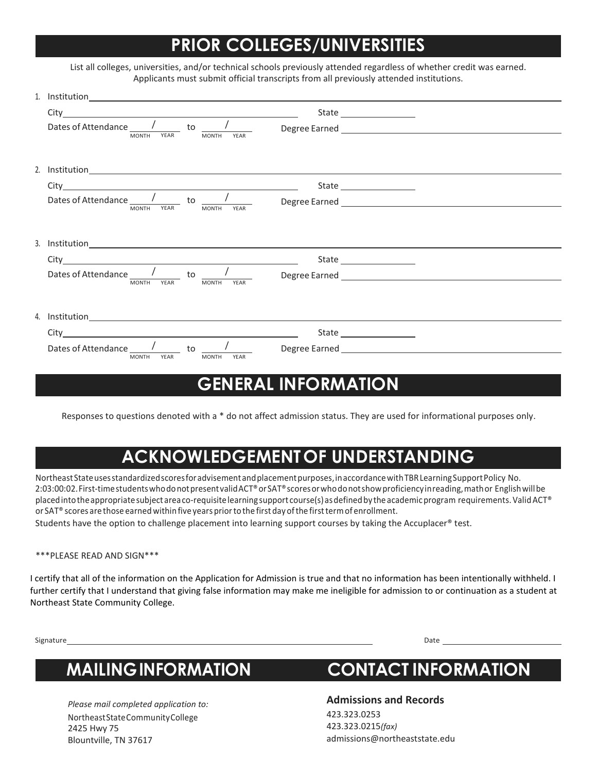## **PRIOR COLLEGES/UNIVERSITIES**

| List all colleges, universities, and/or technical schools previously attended regardless of whether credit was earned. |
|------------------------------------------------------------------------------------------------------------------------|
| Applicants must submit official transcripts from all previously attended institutions.                                 |

| MONTH YEAR<br><b>MONTH</b><br>YFAR                                                                                                                                                                                             |                                                                                                            |
|--------------------------------------------------------------------------------------------------------------------------------------------------------------------------------------------------------------------------------|------------------------------------------------------------------------------------------------------------|
|                                                                                                                                                                                                                                |                                                                                                            |
| 2. Institution and the contract of the contract of the contract of the contract of the contract of the contract of the contract of the contract of the contract of the contract of the contract of the contract of the contrac |                                                                                                            |
|                                                                                                                                                                                                                                |                                                                                                            |
|                                                                                                                                                                                                                                |                                                                                                            |
|                                                                                                                                                                                                                                |                                                                                                            |
|                                                                                                                                                                                                                                |                                                                                                            |
|                                                                                                                                                                                                                                |                                                                                                            |
|                                                                                                                                                                                                                                |                                                                                                            |
|                                                                                                                                                                                                                                |                                                                                                            |
|                                                                                                                                                                                                                                |                                                                                                            |
|                                                                                                                                                                                                                                |                                                                                                            |
|                                                                                                                                                                                                                                |                                                                                                            |
|                                                                                                                                                                                                                                |                                                                                                            |
|                                                                                                                                                                                                                                | <b>GENERAL INFORMATION</b>                                                                                 |
|                                                                                                                                                                                                                                | Dates of Attendance $\frac{1}{\frac{1}{MONTH} - YEAR}$ to $\frac{1}{\frac{1}{MONTH} - YEAR}$ Degree Earned |

Responses to questions denoted with a \* do not affect admission status. They are used for informational purposes only.

## **ACKNOWLEDGEMENTOF UNDERSTANDING**

NortheastStateusesstandardizedscoresforadvisementandplacementpurposes,inaccordancewithTBRLearningSupportPolicy No. 2:03:00:02. First-time students who do not present valid ACT® or SAT® scores or who do not show proficiency in reading, math or English will be placed into the appropriate subject area co-requisite learning support course(s) as defined by the academic program requirements. Valid ACT® or SAT® scores arethose earned within five years priortothe first day ofthe firsttermof enrollment.

Students have the option to challenge placement into learning support courses by taking the Accuplacer® test.

### \*\*\*PLEASE READ AND SIGN\*\*\*

I certify that all of the information on the Application for Admission is true and that no information has been intentionally withheld. I further certify that I understand that giving false information may make me ineligible for admission to or continuation as a student at Northeast State Community College.

Signature Date

*Please mail completed application to:* NortheastStateCommunityCollege 2425 Hwy 75 Blountville, TN 37617

## **MAILINGINFORMATION CONTACT INFORMATION**

**Admissions and Records**

423.323.0253 423.323.0215*(fax)* [admissions@northeaststate.edu](mailto:admissions@northeaststate.edu)